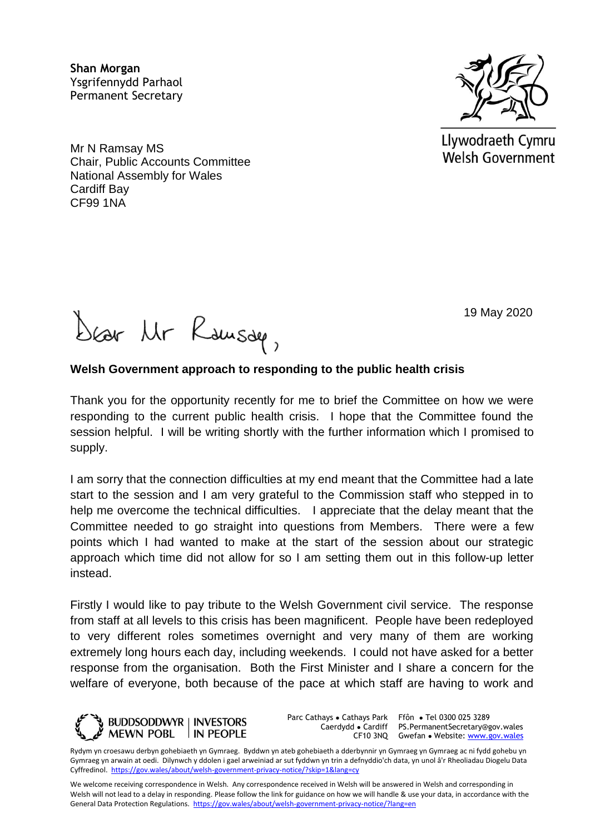**Shan Morgan**  Ysgrifennydd Parhaol Permanent Secretary

Mr N Ramsay MS Chair, Public Accounts Committee National Assembly for Wales Cardiff Bay CF99 1NA



Llywodraeth Cymru **Welsh Government** 

19 May 2020

Dear Mr Rausde,

## **Welsh Government approach to responding to the public health crisis**

Thank you for the opportunity recently for me to brief the Committee on how we were responding to the current public health crisis. I hope that the Committee found the session helpful. I will be writing shortly with the further information which I promised to supply.

I am sorry that the connection difficulties at my end meant that the Committee had a late start to the session and I am very grateful to the Commission staff who stepped in to help me overcome the technical difficulties. I appreciate that the delay meant that the Committee needed to go straight into questions from Members. There were a few points which I had wanted to make at the start of the session about our strategic approach which time did not allow for so I am setting them out in this follow-up letter instead.

Firstly I would like to pay tribute to the Welsh Government civil service. The response from staff at all levels to this crisis has been magnificent. People have been redeployed to very different roles sometimes overnight and very many of them are working extremely long hours each day, including weekends. I could not have asked for a better response from the organisation. Both the First Minister and I share a concern for the welfare of everyone, both because of the pace at which staff are having to work and



Parc Cathays ● Cathays Park Caerdydd ● Cardiff

CF10 3NQ Gwefan • Website: [www.gov.wales](http://www.gov.wales/) Ffôn ● Tel 0300 025 3289 PS.PermanentSecretary@gov.wales

Rydym yn croesawu derbyn gohebiaeth yn Gymraeg. Byddwn yn ateb gohebiaeth a dderbynnir yn Gymraeg yn Gymraeg ac ni fydd gohebu yn Gymraeg yn arwain at oedi. Dilynwch y ddolen i gael arweiniad ar sut fyddwn yn trin a defnyddio'ch data, yn unol â'r Rheoliadau Diogelu Data Cyffredinol.<https://gov.wales/about/welsh-government-privacy-notice/?skip=1&lang=cy>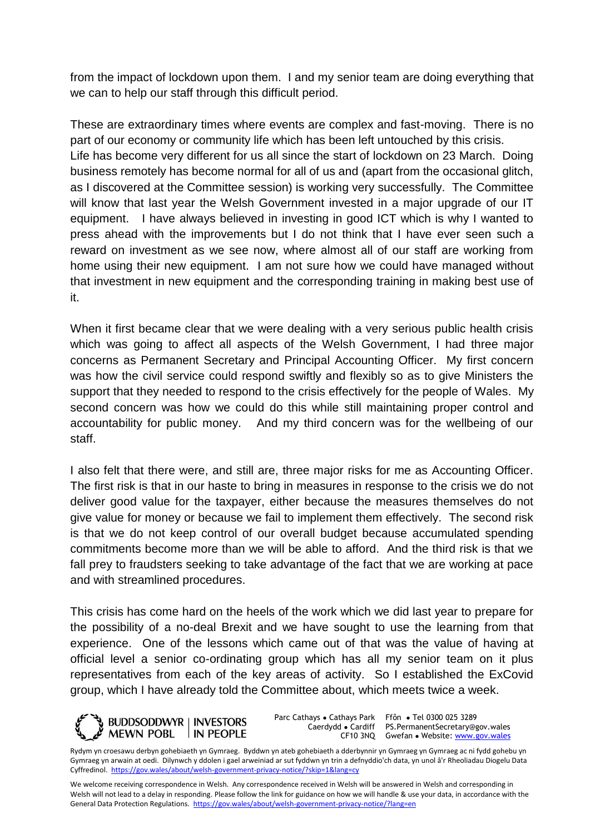from the impact of lockdown upon them. I and my senior team are doing everything that we can to help our staff through this difficult period.

These are extraordinary times where events are complex and fast-moving. There is no part of our economy or community life which has been left untouched by this crisis. Life has become very different for us all since the start of lockdown on 23 March. Doing business remotely has become normal for all of us and (apart from the occasional glitch, as I discovered at the Committee session) is working very successfully. The Committee will know that last year the Welsh Government invested in a major upgrade of our IT equipment. I have always believed in investing in good ICT which is why I wanted to press ahead with the improvements but I do not think that I have ever seen such a reward on investment as we see now, where almost all of our staff are working from home using their new equipment. I am not sure how we could have managed without that investment in new equipment and the corresponding training in making best use of it.

When it first became clear that we were dealing with a very serious public health crisis which was going to affect all aspects of the Welsh Government. I had three major concerns as Permanent Secretary and Principal Accounting Officer. My first concern was how the civil service could respond swiftly and flexibly so as to give Ministers the support that they needed to respond to the crisis effectively for the people of Wales. My second concern was how we could do this while still maintaining proper control and accountability for public money. And my third concern was for the wellbeing of our staff.

I also felt that there were, and still are, three major risks for me as Accounting Officer. The first risk is that in our haste to bring in measures in response to the crisis we do not deliver good value for the taxpayer, either because the measures themselves do not give value for money or because we fail to implement them effectively. The second risk is that we do not keep control of our overall budget because accumulated spending commitments become more than we will be able to afford. And the third risk is that we fall prey to fraudsters seeking to take advantage of the fact that we are working at pace and with streamlined procedures.

This crisis has come hard on the heels of the work which we did last year to prepare for the possibility of a no-deal Brexit and we have sought to use the learning from that experience. One of the lessons which came out of that was the value of having at official level a senior co-ordinating group which has all my senior team on it plus representatives from each of the key areas of activity. So I established the ExCovid group, which I have already told the Committee about, which meets twice a week.



Parc Cathays ● Cathays Park Caerdydd ● Cardiff

CF10 3NQ Gwefan • Website: [www.gov.wales](http://www.gov.wales/) Ffôn ● Tel 0300 025 3289 PS.PermanentSecretary@gov.wales

Rydym yn croesawu derbyn gohebiaeth yn Gymraeg. Byddwn yn ateb gohebiaeth a dderbynnir yn Gymraeg yn Gymraeg ac ni fydd gohebu yn Gymraeg yn arwain at oedi. Dilynwch y ddolen i gael arweiniad ar sut fyddwn yn trin a defnyddio'ch data, yn unol â'r Rheoliadau Diogelu Data Cyffredinol.<https://gov.wales/about/welsh-government-privacy-notice/?skip=1&lang=cy>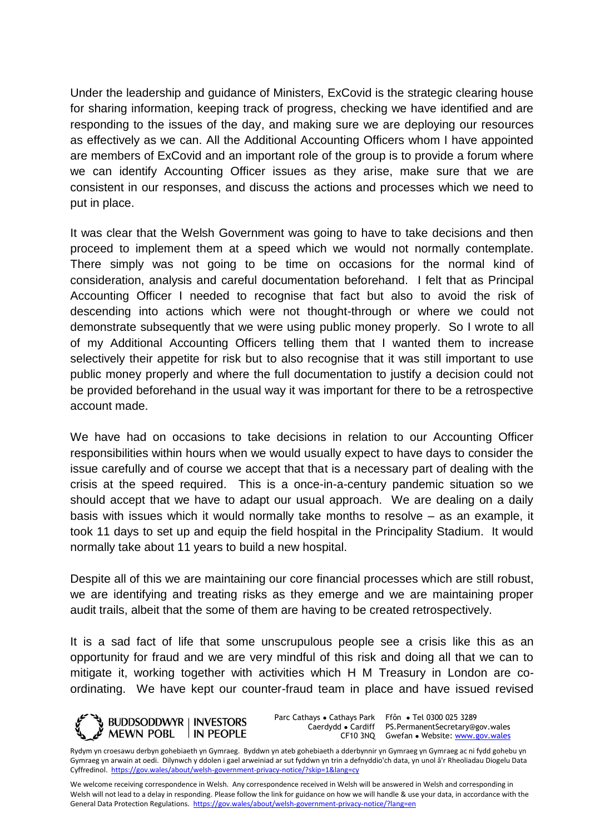Under the leadership and guidance of Ministers, ExCovid is the strategic clearing house for sharing information, keeping track of progress, checking we have identified and are responding to the issues of the day, and making sure we are deploying our resources as effectively as we can. All the Additional Accounting Officers whom I have appointed are members of ExCovid and an important role of the group is to provide a forum where we can identify Accounting Officer issues as they arise, make sure that we are consistent in our responses, and discuss the actions and processes which we need to put in place.

It was clear that the Welsh Government was going to have to take decisions and then proceed to implement them at a speed which we would not normally contemplate. There simply was not going to be time on occasions for the normal kind of consideration, analysis and careful documentation beforehand. I felt that as Principal Accounting Officer I needed to recognise that fact but also to avoid the risk of descending into actions which were not thought-through or where we could not demonstrate subsequently that we were using public money properly. So I wrote to all of my Additional Accounting Officers telling them that I wanted them to increase selectively their appetite for risk but to also recognise that it was still important to use public money properly and where the full documentation to justify a decision could not be provided beforehand in the usual way it was important for there to be a retrospective account made.

We have had on occasions to take decisions in relation to our Accounting Officer responsibilities within hours when we would usually expect to have days to consider the issue carefully and of course we accept that that is a necessary part of dealing with the crisis at the speed required. This is a once-in-a-century pandemic situation so we should accept that we have to adapt our usual approach. We are dealing on a daily basis with issues which it would normally take months to resolve – as an example, it took 11 days to set up and equip the field hospital in the Principality Stadium. It would normally take about 11 years to build a new hospital.

Despite all of this we are maintaining our core financial processes which are still robust, we are identifying and treating risks as they emerge and we are maintaining proper audit trails, albeit that the some of them are having to be created retrospectively.

It is a sad fact of life that some unscrupulous people see a crisis like this as an opportunity for fraud and we are very mindful of this risk and doing all that we can to mitigate it, working together with activities which H M Treasury in London are coordinating. We have kept our counter-fraud team in place and have issued revised



Parc Cathays ● Cathays Park

Caerdydd ● Cardiff PS.PermanentSecretary@gov.wales CF10 3NQ Gwefan • Website: [www.gov.wales](http://www.gov.wales/) Ffôn ● Tel 0300 025 3289

Rydym yn croesawu derbyn gohebiaeth yn Gymraeg. Byddwn yn ateb gohebiaeth a dderbynnir yn Gymraeg yn Gymraeg ac ni fydd gohebu yn Gymraeg yn arwain at oedi. Dilynwch y ddolen i gael arweiniad ar sut fyddwn yn trin a defnyddio'ch data, yn unol â'r Rheoliadau Diogelu Data Cyffredinol.<https://gov.wales/about/welsh-government-privacy-notice/?skip=1&lang=cy>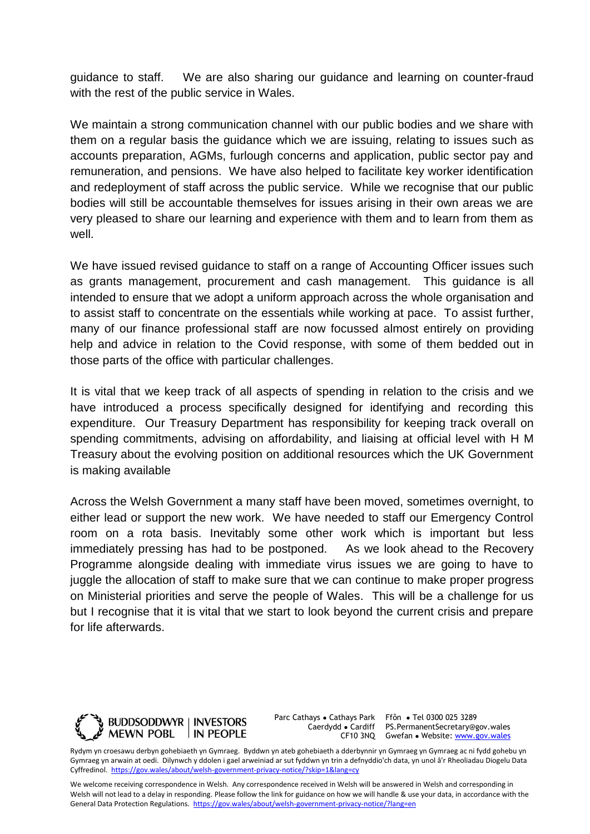guidance to staff. We are also sharing our guidance and learning on counter-fraud with the rest of the public service in Wales.

We maintain a strong communication channel with our public bodies and we share with them on a regular basis the guidance which we are issuing, relating to issues such as accounts preparation, AGMs, furlough concerns and application, public sector pay and remuneration, and pensions. We have also helped to facilitate key worker identification and redeployment of staff across the public service. While we recognise that our public bodies will still be accountable themselves for issues arising in their own areas we are very pleased to share our learning and experience with them and to learn from them as well.

We have issued revised guidance to staff on a range of Accounting Officer issues such as grants management, procurement and cash management. This guidance is all intended to ensure that we adopt a uniform approach across the whole organisation and to assist staff to concentrate on the essentials while working at pace. To assist further, many of our finance professional staff are now focussed almost entirely on providing help and advice in relation to the Covid response, with some of them bedded out in those parts of the office with particular challenges.

It is vital that we keep track of all aspects of spending in relation to the crisis and we have introduced a process specifically designed for identifying and recording this expenditure. Our Treasury Department has responsibility for keeping track overall on spending commitments, advising on affordability, and liaising at official level with H M Treasury about the evolving position on additional resources which the UK Government is making available

Across the Welsh Government a many staff have been moved, sometimes overnight, to either lead or support the new work. We have needed to staff our Emergency Control room on a rota basis. Inevitably some other work which is important but less immediately pressing has had to be postponed. As we look ahead to the Recovery Programme alongside dealing with immediate virus issues we are going to have to juggle the allocation of staff to make sure that we can continue to make proper progress on Ministerial priorities and serve the people of Wales. This will be a challenge for us but I recognise that it is vital that we start to look beyond the current crisis and prepare for life afterwards.



Parc Cathays ● Cathays Park Caerdydd ● Cardiff

CF10 3NQ Gwefan • Website: [www.gov.wales](http://www.gov.wales/) Ffôn ● Tel 0300 025 3289 PS.PermanentSecretary@gov.wales

Rydym yn croesawu derbyn gohebiaeth yn Gymraeg. Byddwn yn ateb gohebiaeth a dderbynnir yn Gymraeg yn Gymraeg ac ni fydd gohebu yn Gymraeg yn arwain at oedi. Dilynwch y ddolen i gael arweiniad ar sut fyddwn yn trin a defnyddio'ch data, yn unol â'r Rheoliadau Diogelu Data Cyffredinol.<https://gov.wales/about/welsh-government-privacy-notice/?skip=1&lang=cy>